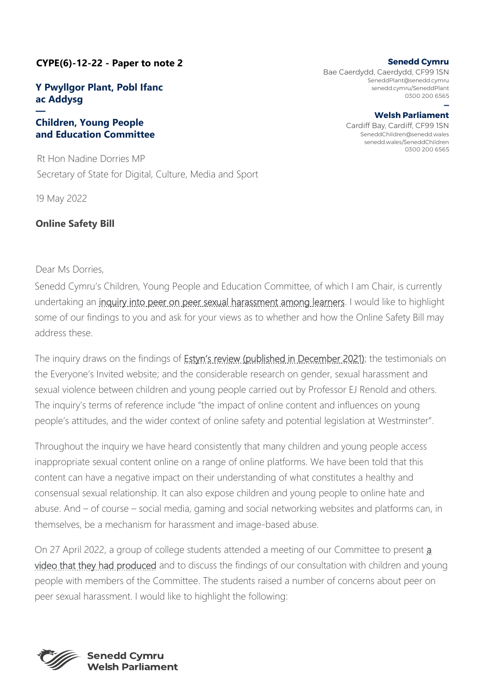# **CYPE(6)-12-22 - Paper to note 2**

## **Y Pwyllgor Plant, Pobl Ifanc ac Addysg**

#### **— Children, Young People and Education Committee**

Rt Hon Nadine Dorries MP Secretary of State for Digital, Culture, Media and Sport

19 May 2022

### **Online Safety Bill**

### Dear Ms Dorries,

Senedd Cymru's Children, Young People and Education Committee, of which I am Chair, is currently undertaking an *inquiry into peer on peer sexual harassment among learners*. I would like to highlight some of our findings to you and ask for your views as to whether and how the Online Safety Bill may address these.

The inquiry draws on the findings of **Estyn's review (published in December 2021)**; the testimonials on the Everyone's Invited website; and the considerable research on gender, sexual harassment and sexual violence between children and young people carried out by Professor EJ Renold and others. The inquiry's terms of reference include "the impact of online content and influences on young people's attitudes, and the wider context of online safety and potential legislation at Westminster".

Throughout the inquiry we have heard consistently that many children and young people access inappropriate sexual content online on a range of online platforms. We have been told that this content can have a negative impact on their understanding of what constitutes a healthy and consensual sexual relationship. It can also expose children and young people to online hate and abuse. And – of course – social media, gaming and social networking websites and platforms can, in themselves, be a mechanism for harassment and image-based abuse.

On 27 April 2022, a group of college students attended a meeting of our Committee to present [a](https://business.senedd.wales/documents/s124716/Coleg%20Cambria%20-%20Peer%20on%20peer%20sexual%20harassment%20video.mp4)  [video that they had produced](https://business.senedd.wales/documents/s124716/Coleg%20Cambria%20-%20Peer%20on%20peer%20sexual%20harassment%20video.mp4) and to discuss the findings of our consultation with children and young people with members of the Committee. The students raised a number of concerns about peer on peer sexual harassment. I would like to highlight the following:



**Senedd Cymru**  Bae Caerdydd, Caerdydd, CF99 1SN SeneddPlant@senedd.cymru

senedd.cymru/SeneddPlant 0300 200 6565 **—**

**Welsh Parliament**  Cardiff Bay, Cardiff, CF99 1SN SeneddChildren@senedd.wales senedd.wales/SeneddChildren 0300 200 6565